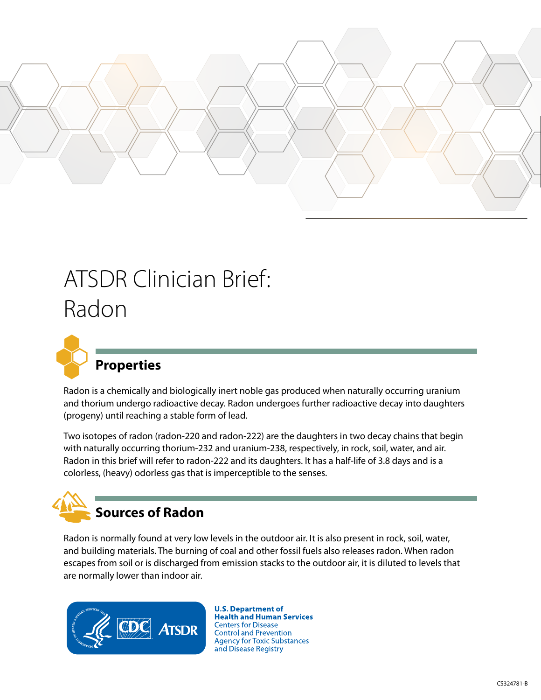

# ATSDR Clinician Brief: Radon



## **Properties**

Radon is a chemically and biologically inert noble gas produced when naturally occurring uranium and thorium undergo radioactive decay. Radon undergoes further radioactive decay into daughters (progeny) until reaching a stable form of lead.

Two isotopes of radon (radon-220 and radon-222) are the daughters in two decay chains that begin with naturally occurring thorium-232 and uranium-238, respectively, in rock, soil, water, and air. Radon in this brief will refer to radon-222 and its daughters. It has a half-life of 3.8 days and is a colorless, (heavy) odorless gas that is imperceptible to the senses.

# **Sources of Radon**

Radon is normally found at very low levels in the outdoor air. It is also present in rock, soil, water, and building materials. The burning of coal and other fossil fuels also releases radon. When radon escapes from soil or is discharged from emission stacks to the outdoor air, it is diluted to levels that are normally lower than indoor air.



**U.S. Department of Health and Human Services Centers for Disease Control and Prevention Agency for Toxic Substances** and Disease Registry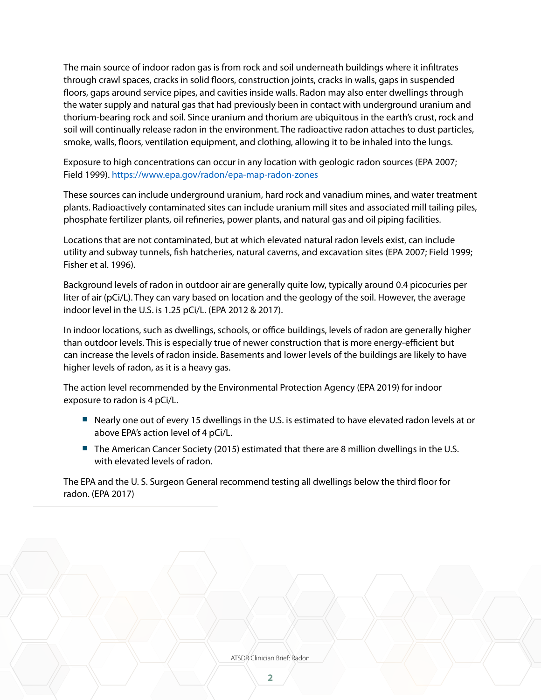The main source of indoor radon gas is from rock and soil underneath buildings where it infiltrates through crawl spaces, cracks in solid floors, construction joints, cracks in walls, gaps in suspended floors, gaps around service pipes, and cavities inside walls. Radon may also enter dwellings through the water supply and natural gas that had previously been in contact with underground uranium and thorium-bearing rock and soil. Since uranium and thorium are ubiquitous in the earth's crust, rock and soil will continually release radon in the environment. The radioactive radon attaches to dust particles, smoke, walls, floors, ventilation equipment, and clothing, allowing it to be inhaled into the lungs.

Exposure to high concentrations can occur in any location with geologic radon sources (EPA 2007; Field 1999). <https://www.epa.gov/radon/epa-map-radon-zones>

These sources can include underground uranium, hard rock and vanadium mines, and water treatment plants. Radioactively contaminated sites can include uranium mill sites and associated mill tailing piles, phosphate fertilizer plants, oil refineries, power plants, and natural gas and oil piping facilities.

Locations that are not contaminated, but at which elevated natural radon levels exist, can include utility and subway tunnels, fish hatcheries, natural caverns, and excavation sites (EPA 2007; Field 1999; Fisher et al. 1996).

Background levels of radon in outdoor air are generally quite low, typically around 0.4 picocuries per liter of air (pCi/L). They can vary based on location and the geology of the soil. However, the average indoor level in the U.S. is 1.25 pCi/L. (EPA 2012 & 2017).

In indoor locations, such as dwellings, schools, or office buildings, levels of radon are generally higher than outdoor levels. This is especially true of newer construction that is more energy-efficient but can increase the levels of radon inside. Basements and lower levels of the buildings are likely to have higher levels of radon, as it is a heavy gas.

The action level recommended by the Environmental Protection Agency (EPA 2019) for indoor exposure to radon is 4 pCi/L.

- Nearly one out of every 15 dwellings in the U.S. is estimated to have elevated radon levels at or above EPA's action level of 4 pCi/L.
- The American Cancer Society (2015) estimated that there are 8 million dwellings in the U.S. with elevated levels of radon.

The EPA and the U. S. Surgeon General recommend testing all dwellings below the third floor for radon. (EPA 2017)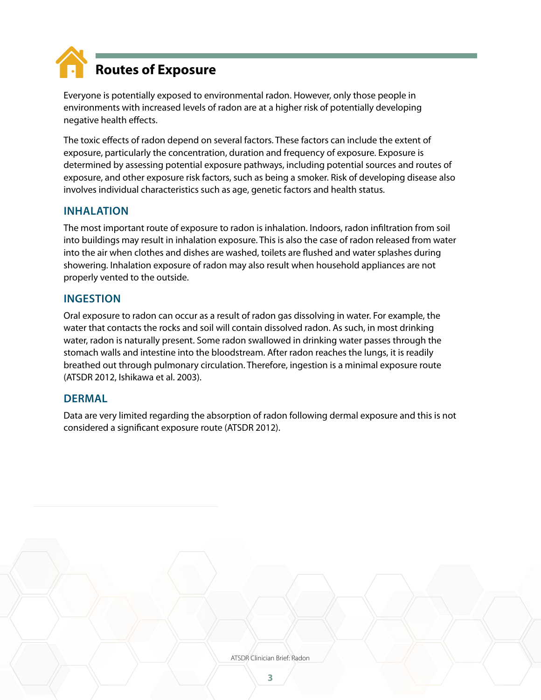

Everyone is potentially exposed to environmental radon. However, only those people in environments with increased levels of radon are at a higher risk of potentially developing negative health effects.

The toxic effects of radon depend on several factors. These factors can include the extent of exposure, particularly the concentration, duration and frequency of exposure. Exposure is determined by assessing potential exposure pathways, including potential sources and routes of exposure, and other exposure risk factors, such as being a smoker. Risk of developing disease also involves individual characteristics such as age, genetic factors and health status.

#### **INHALATION**

The most important route of exposure to radon is inhalation. Indoors, radon infiltration from soil into buildings may result in inhalation exposure. This is also the case of radon released from water into the air when clothes and dishes are washed, toilets are flushed and water splashes during showering. Inhalation exposure of radon may also result when household appliances are not properly vented to the outside.

#### **INGESTION**

Oral exposure to radon can occur as a result of radon gas dissolving in water. For example, the water that contacts the rocks and soil will contain dissolved radon. As such, in most drinking water, radon is naturally present. Some radon swallowed in drinking water passes through the stomach walls and intestine into the bloodstream. After radon reaches the lungs, it is readily breathed out through pulmonary circulation. Therefore, ingestion is a minimal exposure route (ATSDR 2012, Ishikawa et al. 2003).

#### **DERMAL**

Data are very limited regarding the absorption of radon following dermal exposure and this is not considered a significant exposure route (ATSDR 2012).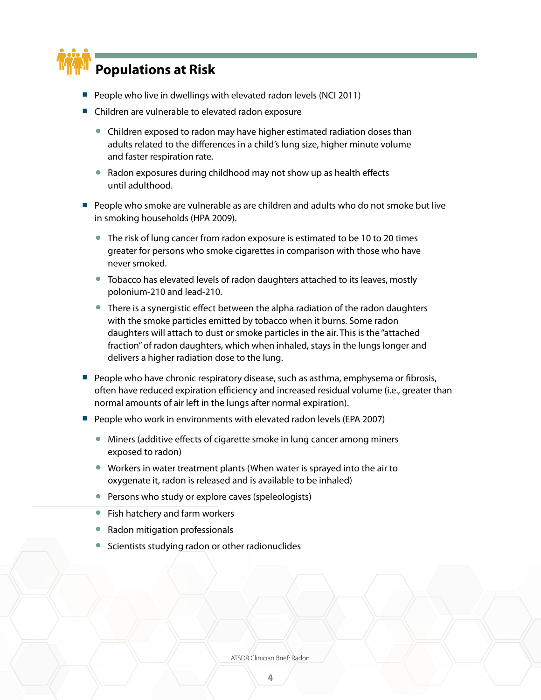

- People who live in dwellings with elevated radon levels (NCI 2011)
- Children are vulnerable to elevated radon exposure
	- Children exposed to radon may have higher estimated radiation doses than adults related to the differences in a child's lung size, higher minute volume and faster respiration rate.
	- Radon exposures during childhood may not show up as health effects until adulthood.
- People who smoke are vulnerable as are children and adults who do not smoke but live in smoking households (HPA 2009).
	- The risk of lung cancer from radon exposure is estimated to be 10 to 20 times greater for persons who smoke cigarettes in comparison with those who have never smoked.
	- Tobacco has elevated levels of radon daughters attached to its leaves, mostly polonium-210 and lead-210.
	- There is a synergistic effect between the alpha radiation of the radon daughters with the smoke particles emitted by tobacco when it burns. Some radon daughters will attach to dust or smoke particles in the air. This is the "attached fraction" of radon daughters, which when inhaled, stays in the lungs longer and delivers a higher radiation dose to the lung.
- People who have chronic respiratory disease, such as asthma, emphysema or fibrosis, often have reduced expiration efficiency and increased residual volume (i.e., greater than normal amounts of air left in the lungs after normal expiration).
- People who work in environments with elevated radon levels (EPA 2007)
	- Miners (additive effects of cigarette smoke in lung cancer among miners exposed to radon)
	- Workers in water treatment plants (When water is sprayed into the air to oxygenate it, radon is released and is available to be inhaled)
	- Persons who study or explore caves (speleologists)
	- Fish hatchery and farm workers
	- Radon mitigation professionals
	- Scientists studying radon or other radionuclides

ATSDR Clinician Brief: Radon

**4**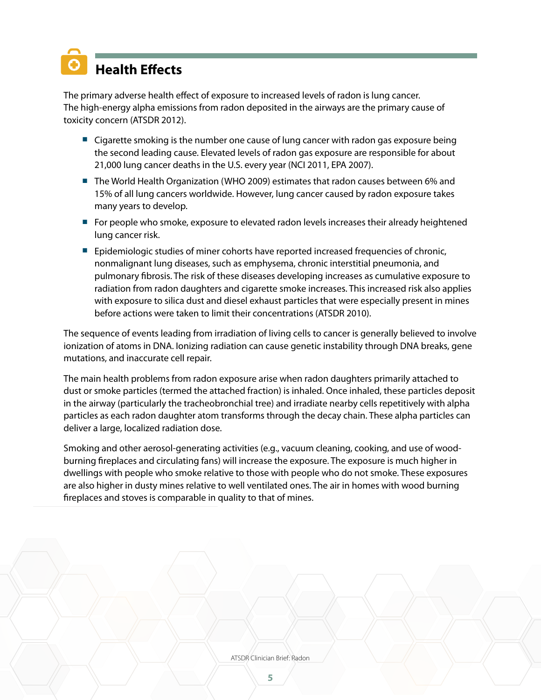# **Health Effects**

The primary adverse health effect of exposure to increased levels of radon is lung cancer. The high-energy alpha emissions from radon deposited in the airways are the primary cause of toxicity concern (ATSDR 2012).

- Cigarette smoking is the number one cause of lung cancer with radon gas exposure being the second leading cause. Elevated levels of radon gas exposure are responsible for about 21,000 lung cancer deaths in the U.S. every year (NCI 2011, EPA 2007).
- The World Health Organization (WHO 2009) estimates that radon causes between 6% and 15% of all lung cancers worldwide. However, lung cancer caused by radon exposure takes many years to develop.
- For people who smoke, exposure to elevated radon levels increases their already heightened lung cancer risk.
- Epidemiologic studies of miner cohorts have reported increased frequencies of chronic, nonmalignant lung diseases, such as emphysema, chronic interstitial pneumonia, and pulmonary fibrosis. The risk of these diseases developing increases as cumulative exposure to radiation from radon daughters and cigarette smoke increases. This increased risk also applies with exposure to silica dust and diesel exhaust particles that were especially present in mines before actions were taken to limit their concentrations (ATSDR 2010).

The sequence of events leading from irradiation of living cells to cancer is generally believed to involve ionization of atoms in DNA. Ionizing radiation can cause genetic instability through DNA breaks, gene mutations, and inaccurate cell repair.

The main health problems from radon exposure arise when radon daughters primarily attached to dust or smoke particles (termed the attached fraction) is inhaled. Once inhaled, these particles deposit in the airway (particularly the tracheobronchial tree) and irradiate nearby cells repetitively with alpha particles as each radon daughter atom transforms through the decay chain. These alpha particles can deliver a large, localized radiation dose.

Smoking and other aerosol-generating activities (e.g., vacuum cleaning, cooking, and use of woodburning fireplaces and circulating fans) will increase the exposure. The exposure is much higher in dwellings with people who smoke relative to those with people who do not smoke. These exposures are also higher in dusty mines relative to well ventilated ones. The air in homes with wood burning fireplaces and stoves is comparable in quality to that of mines.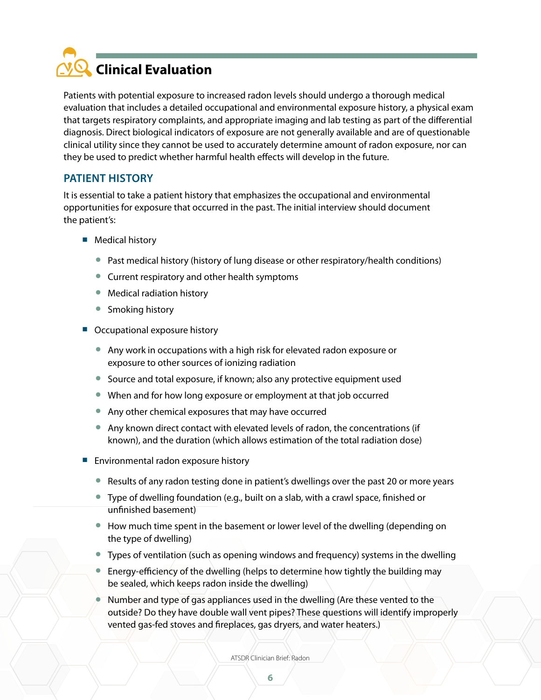

Patients with potential exposure to increased radon levels should undergo a thorough medical evaluation that includes a detailed occupational and environmental exposure history, a physical exam that targets respiratory complaints, and appropriate imaging and lab testing as part of the differential diagnosis. Direct biological indicators of exposure are not generally available and are of questionable clinical utility since they cannot be used to accurately determine amount of radon exposure, nor can they be used to predict whether harmful health effects will develop in the future.

#### **PATIENT HISTORY**

It is essential to take a patient history that emphasizes the occupational and environmental opportunities for exposure that occurred in the past. The initial interview should document the patient's:

- Medical history
	- Past medical history (history of lung disease or other respiratory/health conditions)
	- Current respiratory and other health symptoms
	- Medical radiation history
	- Smoking history
- Occupational exposure history
	- Any work in occupations with a high risk for elevated radon exposure or exposure to other sources of ionizing radiation
	- Source and total exposure, if known; also any protective equipment used
	- When and for how long exposure or employment at that job occurred
	- Any other chemical exposures that may have occurred
	- Any known direct contact with elevated levels of radon, the concentrations (if known), and the duration (which allows estimation of the total radiation dose)
- Environmental radon exposure history
	- Results of any radon testing done in patient's dwellings over the past 20 or more years
	- Type of dwelling foundation (e.g., built on a slab, with a crawl space, finished or unfinished basement)
	- How much time spent in the basement or lower level of the dwelling (depending on the type of dwelling)
	- Types of ventilation (such as opening windows and frequency) systems in the dwelling
	- Energy-efficiency of the dwelling (helps to determine how tightly the building may be sealed, which keeps radon inside the dwelling)
	- Number and type of gas appliances used in the dwelling (Are these vented to the outside? Do they have double wall vent pipes? These questions will identify improperly vented gas-fed stoves and fireplaces, gas dryers, and water heaters.)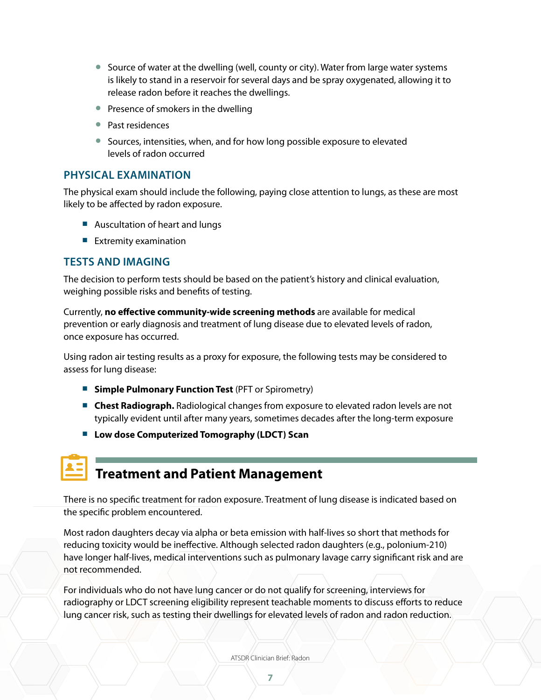- Source of water at the dwelling (well, county or city). Water from large water systems is likely to stand in a reservoir for several days and be spray oxygenated, allowing it to release radon before it reaches the dwellings.
- Presence of smokers in the dwelling
- Past residences
- Sources, intensities, when, and for how long possible exposure to elevated levels of radon occurred

#### **PHYSICAL EXAMINATION**

The physical exam should include the following, paying close attention to lungs, as these are most likely to be affected by radon exposure.

- Auscultation of heart and lungs
- Extremity examination

#### **TESTS AND IMAGING**

The decision to perform tests should be based on the patient's history and clinical evaluation, weighing possible risks and benefits of testing.

Currently, **no effective community-wide screening methods** are available for medical prevention or early diagnosis and treatment of lung disease due to elevated levels of radon, once exposure has occurred.

Using radon air testing results as a proxy for exposure, the following tests may be considered to assess for lung disease:

- **Simple Pulmonary Function Test** (PFT or Spirometry)
- **Chest Radiograph.** Radiological changes from exposure to elevated radon levels are not typically evident until after many years, sometimes decades after the long-term exposure
- Low dose Computerized Tomography (LDCT) Scan

## **Treatment and Patient Management**

There is no specific treatment for radon exposure. Treatment of lung disease is indicated based on the specific problem encountered.

Most radon daughters decay via alpha or beta emission with half-lives so short that methods for reducing toxicity would be ineffective. Although selected radon daughters (e.g., polonium-210) have longer half-lives, medical interventions such as pulmonary lavage carry significant risk and are not recommended.

For individuals who do not have lung cancer or do not qualify for screening, interviews for radiography or LDCT screening eligibility represent teachable moments to discuss efforts to reduce lung cancer risk, such as testing their dwellings for elevated levels of radon and radon reduction.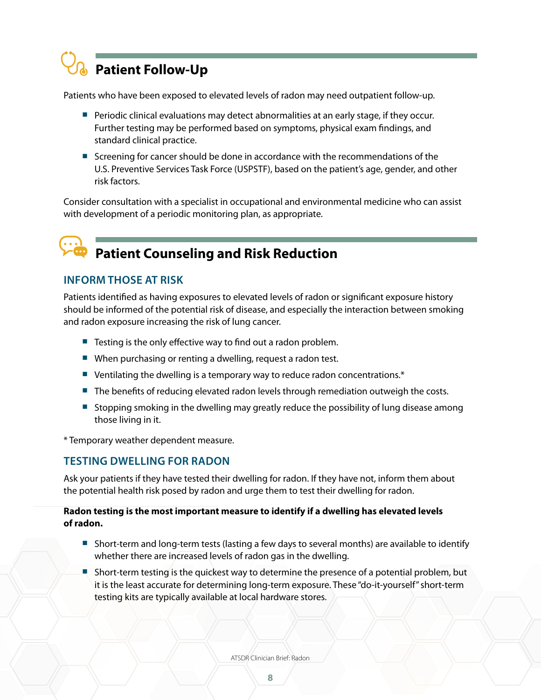

Patients who have been exposed to elevated levels of radon may need outpatient follow-up.

- Periodic clinical evaluations may detect abnormalities at an early stage, if they occur. Further testing may be performed based on symptoms, physical exam findings, and standard clinical practice.
- Screening for cancer should be done in accordance with the recommendations of the U.S. Preventive Services Task Force (USPSTF), based on the patient's age, gender, and other risk factors.

Consider consultation with a specialist in occupational and environmental medicine who can assist with development of a periodic monitoring plan, as appropriate.

## **Patient Counseling and Risk Reduction**

#### **INFORM THOSE AT RISK**

Patients identified as having exposures to elevated levels of radon or significant exposure history should be informed of the potential risk of disease, and especially the interaction between smoking and radon exposure increasing the risk of lung cancer.

- Testing is the only effective way to find out a radon problem.
- When purchasing or renting a dwelling, request a radon test.
- **■** Ventilating the dwelling is a temporary way to reduce radon concentrations.\*
- The benefits of reducing elevated radon levels through remediation outweigh the costs.
- Stopping smoking in the dwelling may greatly reduce the possibility of lung disease among those living in it.

\* Temporary weather dependent measure.

#### **TESTING DWELLING FOR RADON**

Ask your patients if they have tested their dwelling for radon. If they have not, inform them about the potential health risk posed by radon and urge them to test their dwelling for radon.

#### **Radon testing is the most important measure to identify if a dwelling has elevated levels of radon.**

- Short-term and long-term tests (lasting a few days to several months) are available to identify whether there are increased levels of radon gas in the dwelling.
- Short-term testing is the quickest way to determine the presence of a potential problem, but it is the least accurate for determining long-term exposure. These "do-it-yourself" short-term testing kits are typically available at local hardware stores.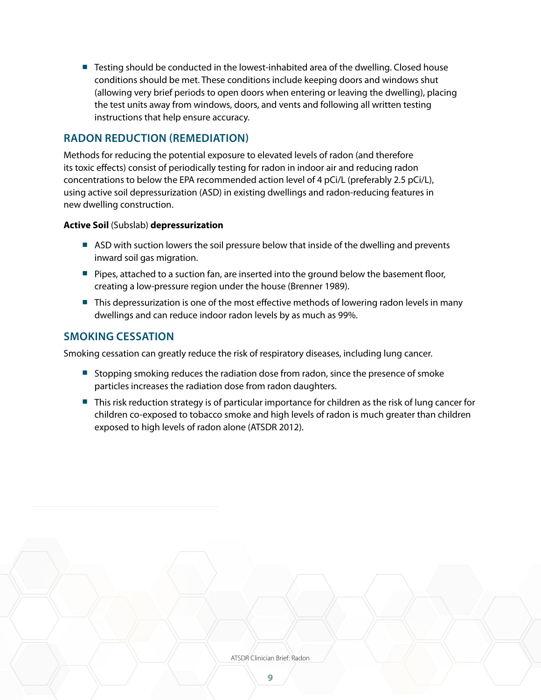■ Testing should be conducted in the lowest-inhabited area of the dwelling. Closed house conditions should be met. These conditions include keeping doors and windows shut (allowing very brief periods to open doors when entering or leaving the dwelling), placing the test units away from windows, doors, and vents and following all written testing instructions that help ensure accuracy.

#### **RADON REDUCTION (REMEDIATION)**

Methods for reducing the potential exposure to elevated levels of radon (and therefore its toxic effects) consist of periodically testing for radon in indoor air and reducing radon concentrations to below the EPA recommended action level of 4 pCi/L (preferably 2.5 pCi/L), using active soil depressurization (ASD) in existing dwellings and radon-reducing features in new dwelling construction.

#### **Active Soil** (Subslab) **depressurization**

- ASD with suction lowers the soil pressure below that inside of the dwelling and prevents inward soil gas migration.
- Pipes, attached to a suction fan, are inserted into the ground below the basement floor, creating a low-pressure region under the house (Brenner 1989).
- This depressurization is one of the most effective methods of lowering radon levels in many dwellings and can reduce indoor radon levels by as much as 99%.

#### **SMOKING CESSATION**

Smoking cessation can greatly reduce the risk of respiratory diseases, including lung cancer.

- Stopping smoking reduces the radiation dose from radon, since the presence of smoke particles increases the radiation dose from radon daughters.
- This risk reduction strategy is of particular importance for children as the risk of lung cancer for children co-exposed to tobacco smoke and high levels of radon is much greater than children exposed to high levels of radon alone (ATSDR 2012).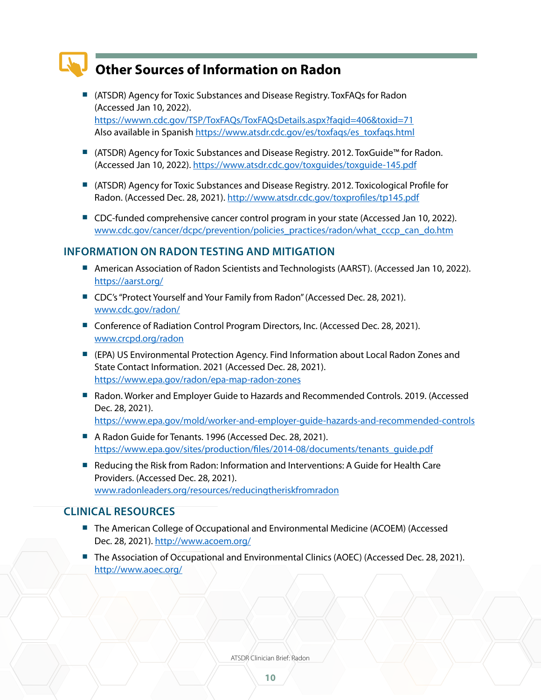### **Other Sources of Information on Radon**

- (ATSDR) Agency for Toxic Substances and Disease Registry. ToxFAQs for Radon (Accessed Jan 10, 2022). <https://wwwn.cdc.gov/TSP/ToxFAQs/ToxFAQsDetails.aspx?faqid=406&toxid=71> Also available in Spanish [https://www.atsdr.cdc.gov/es/toxfaqs/es\\_toxfaqs.html](https://www.atsdr.cdc.gov/es/toxfaqs/es_toxfaqs.html)
- (ATSDR) Agency for Toxic Substances and Disease Registry. 2012. ToxGuide™ for Radon. (Accessed Jan 10, 2022). <https://www.atsdr.cdc.gov/toxguides/toxguide-145.pdf>
- (ATSDR) Agency for Toxic Substances and Disease Registry. 2012. Toxicological Profile for Radon. (Accessed Dec. 28, 2021).<http://www.atsdr.cdc.gov/toxprofiles/tp145.pdf>
- CDC-funded comprehensive cancer control program in your state (Accessed Jan 10, 2022). [www.cdc.gov/cancer/dcpc/prevention/policies\\_practices/radon/what\\_cccp\\_can\\_do.htm](https://www.cdc.gov/cancer/ncccp/ccc_plans.htm)

#### **INFORMATION ON RADON TESTING AND MITIGATION**

- American Association of Radon Scientists and Technologists (AARST). (Accessed Jan 10, 2022). <https://aarst.org/>
- CDC's "Protect Yourself and Your Family from Radon" (Accessed Dec. 28, 2021). [www.cdc.gov/radon/](http://www.cdc.gov/radon/)
- Conference of Radiation Control Program Directors, Inc. (Accessed Dec. 28, 2021). [www.crcpd.org/radon](http://www.crcpd.org/radon)
- (EPA) US Environmental Protection Agency. Find Information about Local Radon Zones and State Contact Information. 2021 (Accessed Dec. 28, 2021). <https://www.epa.gov/radon/epa-map-radon-zones>
- Radon. Worker and Employer Guide to Hazards and Recommended Controls. 2019. (Accessed Dec. 28, 2021). <https://www.epa.gov/mold/worker-and-employer-guide-hazards-and-recommended-controls>
- A Radon Guide for Tenants. 1996 (Accessed Dec. 28, 2021). [https://www.epa.gov/sites/production/files/2014-08/documents/tenants\\_guide.pdf](https://www.epa.gov/sites/production/files/2014-08/documents/tenants_guide.pdf)
- Reducing the Risk from Radon: Information and Interventions: A Guide for Health Care Providers. (Accessed Dec. 28, 2021). [www.radonleaders.org/resources/reducingtheriskfromradon](http://www.radonleaders.org/resources/reducingtheriskfromradon)

#### **CLINICAL RESOURCES**

- The American College of Occupational and Environmental Medicine (ACOEM) (Accessed Dec. 28, 2021). <http://www.acoem.org/>
- The Association of Occupational and Environmental Clinics (AOEC) (Accessed Dec. 28, 2021). <http://www.aoec.org/>